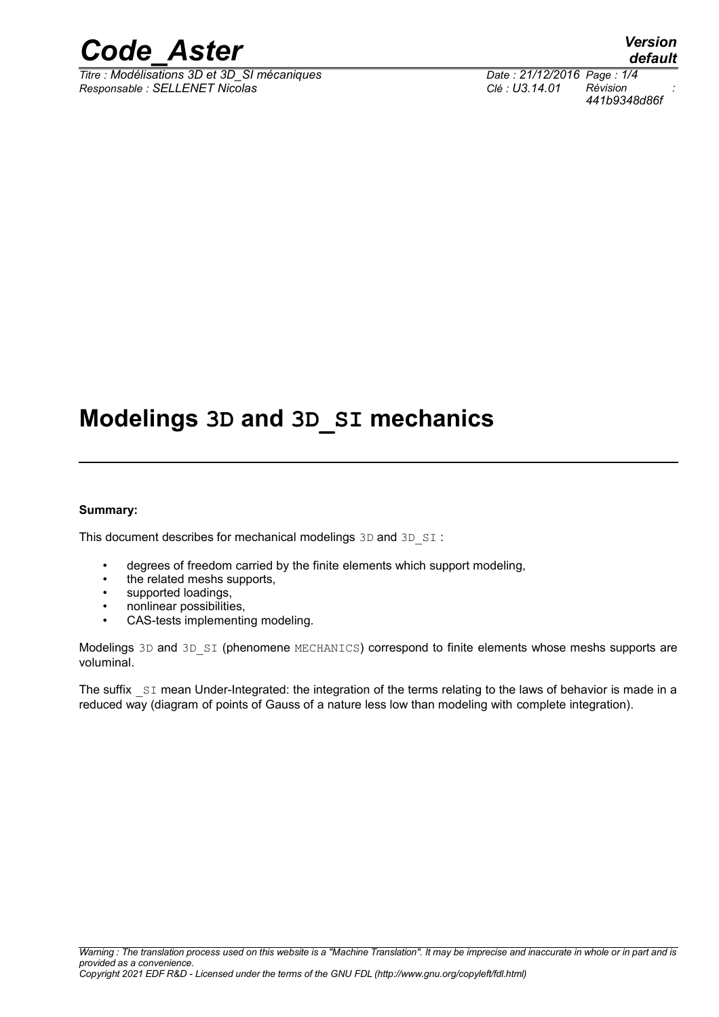

*Titre : Modélisations 3D et 3D\_SI mécaniques Date : 21/12/2016 Page : 1/4 Responsable : SELLENET Nicolas Clé : U3.14.01 Révision :*

### **Modelings 3D and 3D\_SI mechanics**

#### **Summary:**

This document describes for mechanical modelings 3D and 3D SI :

- degrees of freedom carried by the finite elements which support modeling,
- the related meshs supports,
- supported loadings,
- nonlinear possibilities,
- CAS-tests implementing modeling.

Modelings 3D and 3D SI (phenomene MECHANICS) correspond to finite elements whose meshs supports are voluminal.

The suffix  $SI$  mean Under-Integrated: the integration of the terms relating to the laws of behavior is made in a reduced way (diagram of points of Gauss of a nature less low than modeling with complete integration).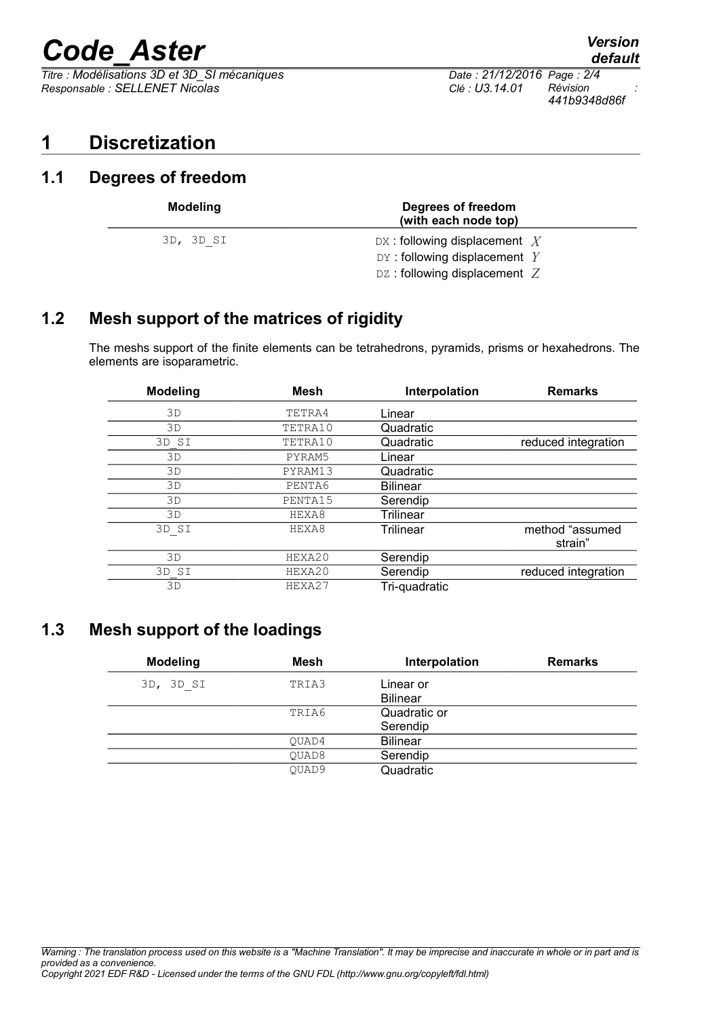# *Code\_Aster Version*

 $\overline{T}$ itre : Modélisations 3D et 3D SI mécaniques *Responsable : SELLENET Nicolas Clé : U3.14.01 Révision :*

*441b9348d86f*

#### **1 Discretization**

#### **1.1 Degrees of freedom**

| <b>Modeling</b> | Degrees of freedom<br>(with each node top)                                                         |
|-----------------|----------------------------------------------------------------------------------------------------|
| 3D, 3D SI       | DX: following displacement $X$<br>DY: following displacement $Y$<br>DZ: following displacement $Z$ |

#### **1.2 Mesh support of the matrices of rigidity**

The meshs support of the finite elements can be tetrahedrons, pyramids, prisms or hexahedrons. The elements are isoparametric.

| <b>Modeling</b> | <b>Mesh</b> | Interpolation    | <b>Remarks</b>             |
|-----------------|-------------|------------------|----------------------------|
| 3D              | TETRA4      | Linear           |                            |
| 3D              | TETRA10     | Quadratic        |                            |
| 3D SI           | TETRA10     | Quadratic        | reduced integration        |
| 3D              | PYRAM5      | Linear           |                            |
| 3D              | PYRAM13     | Quadratic        |                            |
| 3D              | PENTA6      | <b>Bilinear</b>  |                            |
| 3D              | PENTA15     | Serendip         |                            |
| 3D              | HEXA8       | <b>Trilinear</b> |                            |
| 3D SI           | HEXA8       | <b>Trilinear</b> | method "assumed<br>strain" |
| 3D              | HEXA20      | Serendip         |                            |
| 3D SI           | HEXA20      | Serendip         | reduced integration        |
| 3D              | HEXA27      | Tri-quadratic    |                            |

#### **1.3 Mesh support of the loadings**

| <b>Modeling</b> | Mesh  | Interpolation                | <b>Remarks</b> |
|-----------------|-------|------------------------------|----------------|
| 3D, 3D SI       | TRIA3 | Linear or<br><b>Bilinear</b> |                |
|                 | TRIA6 | Quadratic or                 |                |
|                 |       | Serendip                     |                |
|                 | OUAD4 | <b>Bilinear</b>              |                |
|                 | OUAD8 | Serendip                     |                |
|                 | OUAD9 | Quadratic                    |                |

*default*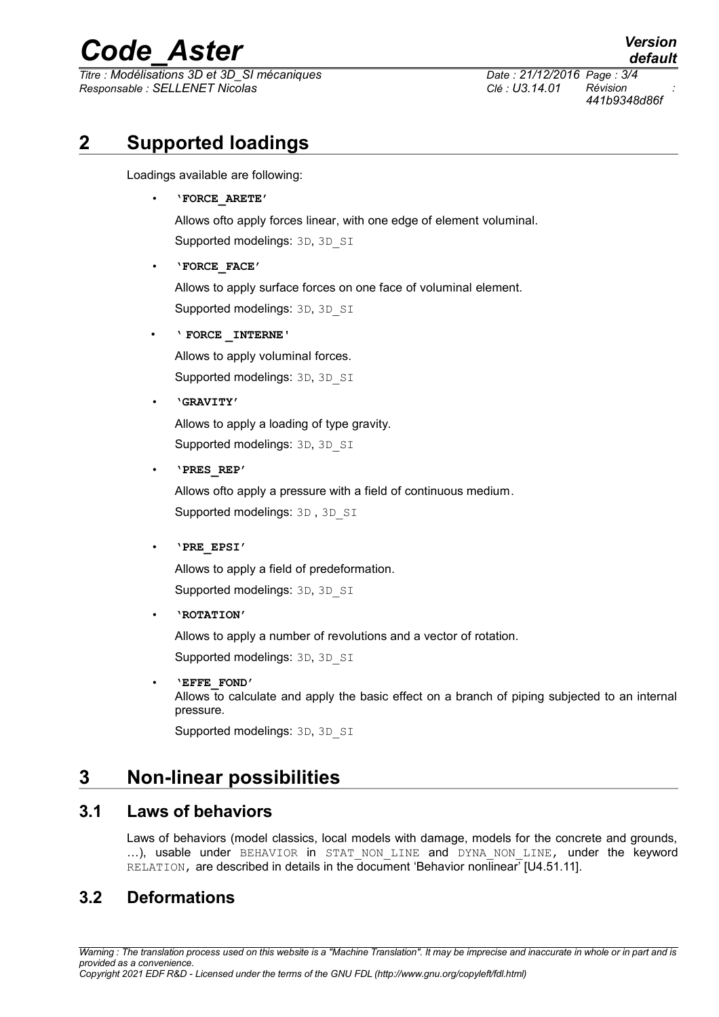## *Code\_Aster Version*

*Titre : Modélisations 3D et 3D\_SI mécaniques Date : 21/12/2016 Page : 3/4 Responsable : SELLENET Nicolas Clé : U3.14.01 Révision :*

*default 441b9348d86f*

#### **2 Supported loadings**

Loadings available are following:

• **'FORCE\_ARETE'**

Allows ofto apply forces linear, with one edge of element voluminal. Supported modelings: 3D, 3D SI

• **'FORCE\_FACE'**

Allows to apply surface forces on one face of voluminal element. Supported modelings: 3D, 3D SI

• **' FORCE \_INTERNE'**

Allows to apply voluminal forces. Supported modelings: 3D, 3D SI

• **'GRAVITY'**

Allows to apply a loading of type gravity. Supported modelings: 3D, 3D SI

• **'PRES\_REP'**

Allows ofto apply a pressure with a field of continuous medium. Supported modelings: 3D, 3D SI

• **'PRE\_EPSI'**

Allows to apply a field of predeformation. Supported modelings: 3D, 3D SI

• **'ROTATION'**

Allows to apply a number of revolutions and a vector of rotation. Supported modelings: 3D, 3D SI

• **'EFFE\_FOND'** Allows to calculate and apply the basic effect on a branch of piping subjected to an internal pressure. Supported modelings: 3D, 3D SI

### **3 Non-linear possibilities**

#### **3.1 Laws of behaviors**

Laws of behaviors (model classics, local models with damage, models for the concrete and grounds, ...), usable under BEHAVIOR in STAT NON LINE and DYNA NON LINE, under the keyword RELATION, are described in details in the document 'Behavior nonlinear' [U4.51.11].

#### **3.2 Deformations**